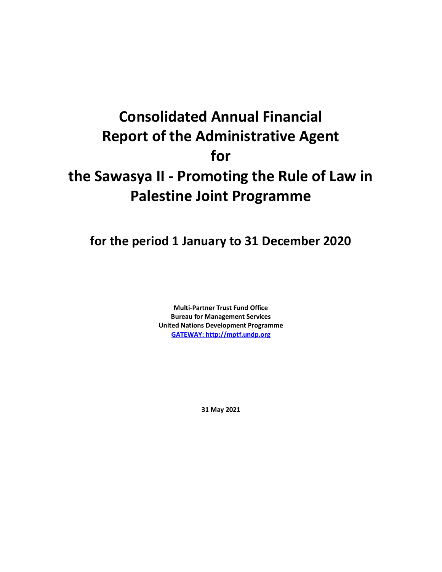# **Consolidated Annual Financial Report of the Administrative Agent for the Sawasya II - Promoting the Rule of Law in Palestine Joint Programme**

**for the period 1 January to 31 December 2020**

**Multi-Partner Trust Fund Office Bureau for Management Services United Nations Development Programme [GATEWAY: http://mptf.undp.org](http://mptf.undp.org/)**

**31 May 2021**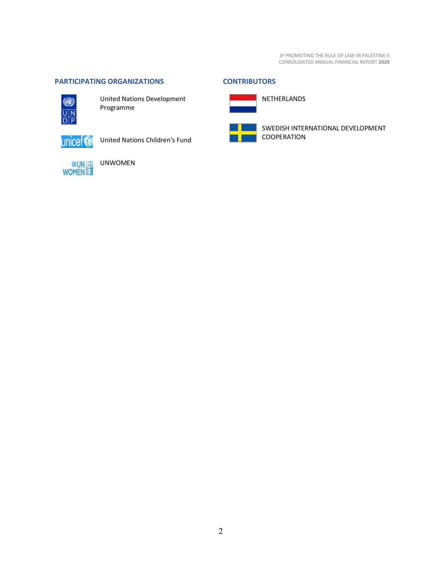# <span id="page-1-0"></span>**PARTICIPATING ORGANIZATIONS CONTRIBUTORS**



United Nations Development Programme

unicef<sup>®</sup>

United Nations Children's Fund



UNWOMEN

<span id="page-1-1"></span>

SWEDISH INTERNATIONAL DEVELOPMENT COOPERATION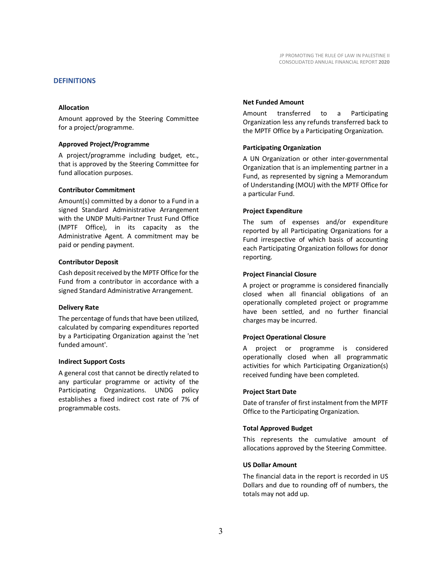#### <span id="page-2-0"></span>**DEFINITIONS**

#### **Allocation**

Amount approved by the Steering Committee for a project/programme.

#### **Approved Project/Programme**

A project/programme including budget, etc., that is approved by the Steering Committee for fund allocation purposes.

#### **Contributor Commitment**

Amount(s) committed by a donor to a Fund in a signed Standard Administrative Arrangement with the UNDP Multi-Partner Trust Fund Office (MPTF Office), in its capacity as the Administrative Agent. A commitment may be paid or pending payment.

#### **Contributor Deposit**

Cash deposit received by the MPTF Office for the Fund from a contributor in accordance with a signed Standard Administrative Arrangement.

#### **Delivery Rate**

The percentage of funds that have been utilized, calculated by comparing expenditures reported by a Participating Organization against the 'net funded amount'.

#### **Indirect Support Costs**

A general cost that cannot be directly related to any particular programme or activity of the Participating Organizations. UNDG policy establishes a fixed indirect cost rate of 7% of programmable costs.

#### **Net Funded Amount**

Amount transferred to a Participating Organization less any refunds transferred back to the MPTF Office by a Participating Organization.

#### **Participating Organization**

A UN Organization or other inter-governmental Organization that is an implementing partner in a Fund, as represented by signing a Memorandum of Understanding (MOU) with the MPTF Office for a particular Fund.

#### **Project Expenditure**

The sum of expenses and/or expenditure reported by all Participating Organizations for a Fund irrespective of which basis of accounting each Participating Organization follows for donor reporting.

#### **Project Financial Closure**

A project or programme is considered financially closed when all financial obligations of an operationally completed project or programme have been settled, and no further financial charges may be incurred.

#### **Project Operational Closure**

A project or programme is considered operationally closed when all programmatic activities for which Participating Organization(s) received funding have been completed.

#### **Project Start Date**

Date of transfer of first instalment from the MPTF Office to the Participating Organization.

#### **Total Approved Budget**

This represents the cumulative amount of allocations approved by the Steering Committee.

#### **US Dollar Amount**

The financial data in the report is recorded in US Dollars and due to rounding off of numbers, the totals may not add up.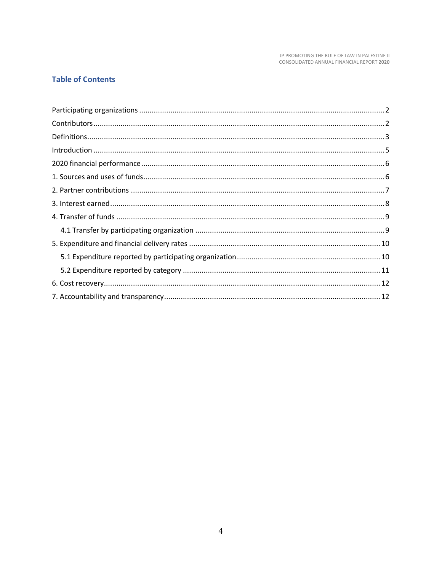# **Table of Contents**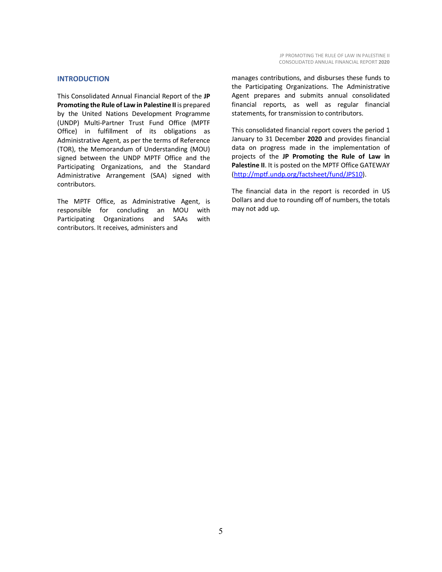#### <span id="page-4-0"></span>**INTRODUCTION**

This Consolidated Annual Financial Report of the **JP Promoting the Rule of Law in Palestine II** is prepared by the United Nations Development Programme (UNDP) Multi-Partner Trust Fund Office (MPTF Office) in fulfillment of its obligations as Administrative Agent, as per the terms of Reference (TOR), the Memorandum of Understanding (MOU) signed between the UNDP MPTF Office and the Participating Organizations, and the Standard Administrative Arrangement (SAA) signed with contributors.

The MPTF Office, as Administrative Agent, is responsible for concluding an MOU with Participating Organizations and SAAs with contributors. It receives, administers and

manages contributions, and disburses these funds to the Participating Organizations. The Administrative Agent prepares and submits annual consolidated financial reports, as well as regular financial statements, for transmission to contributors.

This consolidated financial report covers the period 1 January to 31 December **2020** and provides financial data on progress made in the implementation of projects of the **JP Promoting the Rule of Law in Palestine II**. It is posted on the MPTF Office GATEWAY [\(http://mptf.undp.org/factsheet/fund/JPS10\)](http://mptf.undp.org/factsheet/fund/JPS10).

The financial data in the report is recorded in US Dollars and due to rounding off of numbers, the totals may not add up.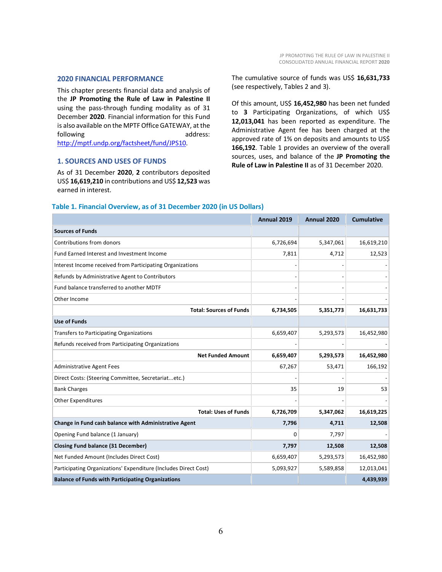#### <span id="page-5-0"></span>**2020 FINANCIAL PERFORMANCE**

This chapter presents financial data and analysis of the **JP Promoting the Rule of Law in Palestine II** using the pass-through funding modality as of 31 December **2020**. Financial information for this Fund is also available on the MPTF Office GATEWAY, at the following and and the state of the address: [http://mptf.undp.org/factsheet/fund/JPS10.](http://mptf.undp.org/factsheet/fund/JPS10)

#### <span id="page-5-1"></span>**1. SOURCES AND USES OF FUNDS**

As of 31 December **2020**, **2** contributors deposited US\$ **16,619,210** in contributions and US\$ **12,523** was earned in interest.

The cumulative source of funds was US\$ **16,631,733** (see respectively, Tables 2 and 3).

Of this amount, US\$ **16,452,980** has been net funded to **3** Participating Organizations, of which US\$ **12,013,041** has been reported as expenditure. The Administrative Agent fee has been charged at the approved rate of 1% on deposits and amounts to US\$ 166,192. Table 1 provides an overview of the overall sources, uses, and balance of the **JP Promoting the Rule of Law in Palestine II** as of 31 December 2020.

|                                                                 | Annual 2019 | Annual 2020 | <b>Cumulative</b> |
|-----------------------------------------------------------------|-------------|-------------|-------------------|
| <b>Sources of Funds</b>                                         |             |             |                   |
| Contributions from donors                                       | 6,726,694   | 5,347,061   | 16,619,210        |
| Fund Earned Interest and Investment Income                      | 7,811       | 4,712       | 12,523            |
| Interest Income received from Participating Organizations       |             |             |                   |
| Refunds by Administrative Agent to Contributors                 |             |             |                   |
| Fund balance transferred to another MDTF                        |             |             |                   |
| Other Income                                                    |             |             |                   |
| <b>Total: Sources of Funds</b>                                  | 6,734,505   | 5,351,773   | 16,631,733        |
| <b>Use of Funds</b>                                             |             |             |                   |
| <b>Transfers to Participating Organizations</b>                 | 6,659,407   | 5,293,573   | 16,452,980        |
| Refunds received from Participating Organizations               |             |             |                   |
| <b>Net Funded Amount</b>                                        | 6,659,407   | 5,293,573   | 16,452,980        |
| <b>Administrative Agent Fees</b>                                | 67,267      | 53,471      | 166,192           |
| Direct Costs: (Steering Committee, Secretariatetc.)             |             |             |                   |
| <b>Bank Charges</b>                                             | 35          | 19          | 53                |
| <b>Other Expenditures</b>                                       |             |             |                   |
| <b>Total: Uses of Funds</b>                                     | 6,726,709   | 5,347,062   | 16,619,225        |
| Change in Fund cash balance with Administrative Agent           | 7,796       | 4,711       | 12,508            |
| Opening Fund balance (1 January)                                | 0           | 7,797       |                   |
| <b>Closing Fund balance (31 December)</b>                       | 7,797       | 12,508      | 12,508            |
| Net Funded Amount (Includes Direct Cost)                        | 6,659,407   | 5,293,573   | 16,452,980        |
| Participating Organizations' Expenditure (Includes Direct Cost) | 5,093,927   | 5,589,858   | 12,013,041        |
| <b>Balance of Funds with Participating Organizations</b>        |             |             | 4,439,939         |

### **Table 1. Financial Overview, as of 31 December 2020 (in US Dollars)**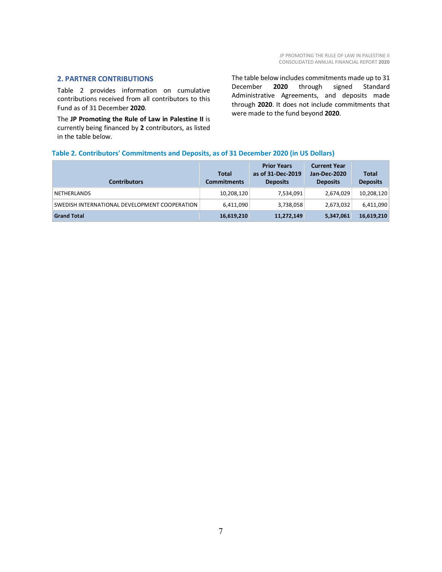#### <span id="page-6-0"></span>**2. PARTNER CONTRIBUTIONS**

Table 2 provides information on cumulative contributions received from all contributors to this Fund as of 31 December **2020**.

The **JP Promoting the Rule of Law in Palestine II** is currently being financed by **2** contributors, as listed in the table below.

The table below includes commitments made up to 31 December **2020** through signed Standard Administrative Agreements, and deposits made through **2020**. It does not include commitments that were made to the fund beyond **2020**.

## **Table 2. Contributors' Commitments and Deposits, as of 31 December 2020 (in US Dollars)**

| <b>Contributors</b>                           | <b>Total</b><br><b>Commitments</b> | <b>Prior Years</b><br>as of 31-Dec-2019<br><b>Deposits</b> | <b>Current Year</b><br><b>Jan-Dec-2020</b><br><b>Deposits</b> | <b>Total</b><br><b>Deposits</b> |
|-----------------------------------------------|------------------------------------|------------------------------------------------------------|---------------------------------------------------------------|---------------------------------|
| <b>NETHERLANDS</b>                            | 10,208,120                         | 7,534,091                                                  | 2,674,029                                                     | 10,208,120                      |
| SWEDISH INTERNATIONAL DEVELOPMENT COOPERATION | 6,411,090                          | 3,738,058                                                  | 2,673,032                                                     | 6,411,090                       |
| <b>Grand Total</b>                            | 16,619,210                         | 11,272,149                                                 | 5,347,061                                                     | 16,619,210                      |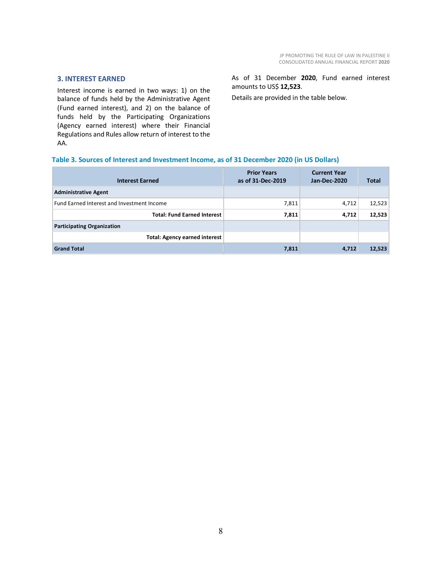#### <span id="page-7-0"></span>**3. INTEREST EARNED**

Interest income is earned in two ways: 1) on the balance of funds held by the Administrative Agent (Fund earned interest), and 2) on the balance of funds held by the Participating Organizations (Agency earned interest) where their Financial Regulations and Rules allow return of interest to the AA.

As of 31 December **2020**, Fund earned interest amounts to US\$ **12,523**.

Details are provided in the table below.

#### **Table 3. Sources of Interest and Investment Income, as of 31 December 2020 (in US Dollars)**

| <b>Interest Earned</b>                     | <b>Prior Years</b><br>as of 31-Dec-2019 | <b>Current Year</b><br>Jan-Dec-2020 | <b>Total</b> |
|--------------------------------------------|-----------------------------------------|-------------------------------------|--------------|
| <b>Administrative Agent</b>                |                                         |                                     |              |
| Fund Earned Interest and Investment Income | 7,811                                   | 4,712                               | 12,523       |
| <b>Total: Fund Earned Interest</b>         | 7,811                                   | 4,712                               | 12,523       |
| <b>Participating Organization</b>          |                                         |                                     |              |
| <b>Total: Agency earned interest</b>       |                                         |                                     |              |
| <b>Grand Total</b>                         | 7,811                                   | 4,712                               | 12,523       |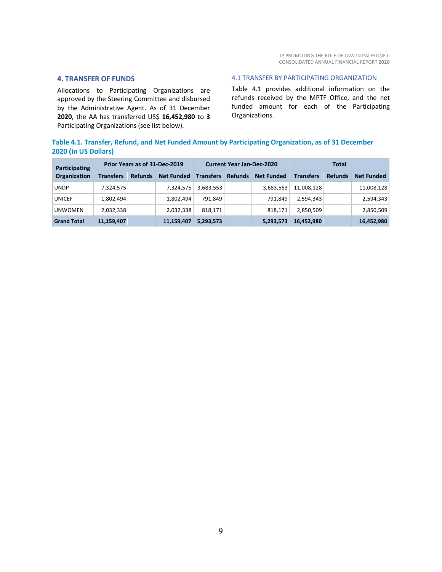#### <span id="page-8-0"></span>**4. TRANSFER OF FUNDS**

Allocations to Participating Organizations are approved by the Steering Committee and disbursed by the Administrative Agent. As of 31 December **2020**, the AA has transferred US\$ **16,452,980** to **3** Participating Organizations (see list below).

#### <span id="page-8-1"></span>4.1 TRANSFER BY PARTICIPATING ORGANIZATION

Table 4.1 provides additional information on the refunds received by the MPTF Office, and the net funded amount for each of the Participating Organizations.

# **Table 4.1. Transfer, Refund, and Net Funded Amount by Participating Organization, as of 31 December 2020 (in US Dollars)**

| Participating      | Prior Years as of 31-Dec-2019 |                |                   | <b>Current Year Jan-Dec-2020</b> |                |                   | <b>Total</b>     |                |                   |
|--------------------|-------------------------------|----------------|-------------------|----------------------------------|----------------|-------------------|------------------|----------------|-------------------|
| Organization       | <b>Transfers</b>              | <b>Refunds</b> | <b>Net Funded</b> | <b>Transfers</b>                 | <b>Refunds</b> | <b>Net Funded</b> | <b>Transfers</b> | <b>Refunds</b> | <b>Net Funded</b> |
| <b>UNDP</b>        | 7,324,575                     |                | 7,324,575         | 3,683,553                        |                | 3,683,553         | 11,008,128       |                | 11,008,128        |
| <b>UNICEF</b>      | 1,802,494                     |                | 1,802,494         | 791.849                          |                | 791.849           | 2,594,343        |                | 2,594,343         |
| <b>UNWOMEN</b>     | 2,032,338                     |                | 2,032,338         | 818.171                          |                | 818,171           | 2.850.509        |                | 2,850,509         |
| <b>Grand Total</b> | 11,159,407                    |                | 11,159,407        | 5,293,573                        |                | 5,293,573         | 16,452,980       |                | 16,452,980        |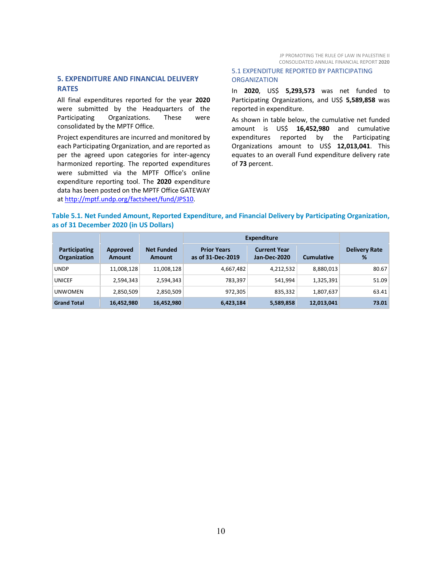# <span id="page-9-0"></span>**5. EXPENDITURE AND FINANCIAL DELIVERY RATES**

All final expenditures reported for the year **2020** were submitted by the Headquarters of the Participating Organizations. These were consolidated by the MPTF Office.

Project expenditures are incurred and monitored by each Participating Organization, and are reported as per the agreed upon categories for inter-agency harmonized reporting. The reported expenditures were submitted via the MPTF Office's online expenditure reporting tool. The **2020** expenditure data has been posted on the MPTF Office GATEWAY at [http://mptf.undp.org/factsheet/fund/JPS10.](http://mptf.undp.org/factsheet/fund/JPS10)

#### <span id="page-9-1"></span>5.1 EXPENDITURE REPORTED BY PARTICIPATING **ORGANIZATION**

In **2020**, US\$ **5,293,573** was net funded to Participating Organizations, and US\$ **5,589,858** was reported in expenditure.

As shown in table below, the cumulative net funded amount is US\$ **16,452,980** and cumulative expenditures reported by the Participating Organizations amount to US\$ **12,013,041**. This equates to an overall Fund expenditure delivery rate of **73** percent.

#### **Table 5.1. Net Funded Amount, Reported Expenditure, and Financial Delivery by Participating Organization, as of 31 December 2020 (in US Dollars)**

|                                      |                    |                                    | Expenditure                             |                                            |                   |                           |
|--------------------------------------|--------------------|------------------------------------|-----------------------------------------|--------------------------------------------|-------------------|---------------------------|
| Participating<br><b>Organization</b> | Approved<br>Amount | <b>Net Funded</b><br><b>Amount</b> | <b>Prior Years</b><br>as of 31-Dec-2019 | <b>Current Year</b><br><b>Jan-Dec-2020</b> | <b>Cumulative</b> | <b>Delivery Rate</b><br>% |
| <b>UNDP</b>                          | 11,008,128         | 11,008,128                         | 4,667,482                               | 4,212,532                                  | 8,880,013         | 80.67                     |
| <b>UNICEF</b>                        | 2,594,343          | 2,594,343                          | 783,397                                 | 541.994                                    | 1,325,391         | 51.09                     |
| <b>UNWOMEN</b>                       | 2,850,509          | 2,850,509                          | 972,305                                 | 835,332                                    | 1,807,637         | 63.41                     |
| <b>Grand Total</b>                   | 16,452,980         | 16,452,980                         | 6,423,184                               | 5,589,858                                  | 12,013,041        | 73.01                     |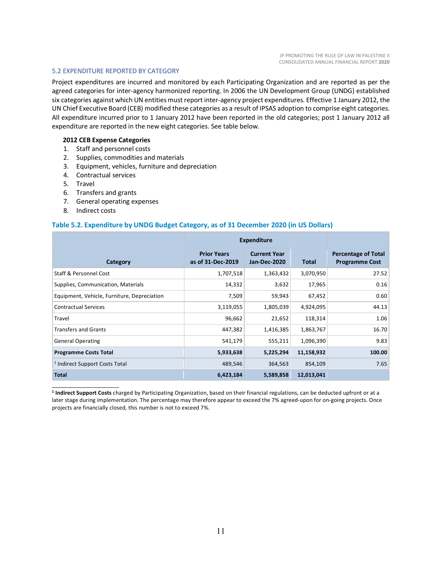#### <span id="page-10-0"></span>5.2 EXPENDITURE REPORTED BY CATEGORY

Project expenditures are incurred and monitored by each Participating Organization and are reported as per the agreed categories for inter-agency harmonized reporting. In 2006 the UN Development Group (UNDG) established six categories against which UN entities must report inter-agency project expenditures. Effective 1 January 2012, the UN Chief Executive Board (CEB) modified these categories as a result of IPSAS adoption to comprise eight categories. All expenditure incurred prior to 1 January 2012 have been reported in the old categories; post 1 January 2012 all expenditure are reported in the new eight categories. See table below.

#### **2012 CEB Expense Categories**

- 1. Staff and personnel costs
- 2. Supplies, commodities and materials
- 3. Equipment, vehicles, furniture and depreciation
- 4. Contractual services
- 5. Travel
- 6. Transfers and grants
- 7. General operating expenses
- 8. Indirect costs

\_\_\_\_\_\_\_\_\_\_\_\_\_\_\_\_\_\_\_\_\_\_

#### **Table 5.2. Expenditure by UNDG Budget Category, as of 31 December 2020 (in US Dollars)**

|                                             | <b>Expenditure</b>                      |                                            |              |                                                     |
|---------------------------------------------|-----------------------------------------|--------------------------------------------|--------------|-----------------------------------------------------|
| Category                                    | <b>Prior Years</b><br>as of 31-Dec-2019 | <b>Current Year</b><br><b>Jan-Dec-2020</b> | <b>Total</b> | <b>Percentage of Total</b><br><b>Programme Cost</b> |
| Staff & Personnel Cost                      | 1,707,518                               | 1,363,432                                  | 3,070,950    | 27.52                                               |
| Supplies, Communication, Materials          | 14,332                                  | 3,632                                      | 17,965       | 0.16                                                |
| Equipment, Vehicle, Furniture, Depreciation | 7,509                                   | 59,943                                     | 67,452       | 0.60                                                |
| <b>Contractual Services</b>                 | 3,119,055                               | 1,805,039                                  | 4,924,095    | 44.13                                               |
| Travel                                      | 96,662                                  | 21,652                                     | 118,314      | 1.06                                                |
| <b>Transfers and Grants</b>                 | 447,382                                 | 1,416,385                                  | 1,863,767    | 16.70                                               |
| <b>General Operating</b>                    | 541,179                                 | 555,211                                    | 1,096,390    | 9.83                                                |
| <b>Programme Costs Total</b>                | 5,933,638                               | 5,225,294                                  | 11,158,932   | 100.00                                              |
| <sup>1</sup> Indirect Support Costs Total   | 489,546                                 | 364,563                                    | 854,109      | 7.65                                                |
| <b>Total</b>                                | 6,423,184                               | 5,589,858                                  | 12,013,041   |                                                     |

**<sup>1</sup> Indirect Support Costs** charged by Participating Organization, based on their financial regulations, can be deducted upfront or at a later stage during implementation. The percentage may therefore appear to exceed the 7% agreed-upon for on-going projects. Once projects are financially closed, this number is not to exceed 7%.